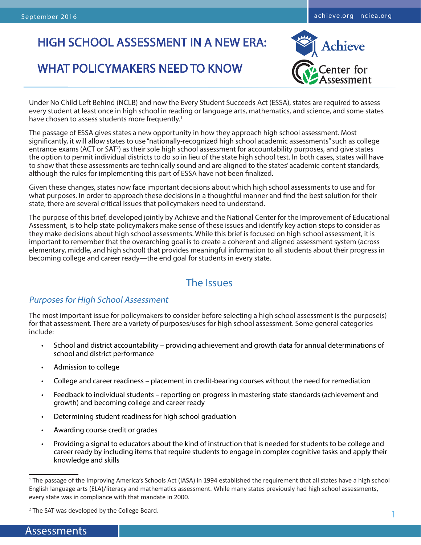# HIGH SCHOOL ASSESSMENT IN A NEW ERA:

# WHAT POLICYMAKERS NEED TO KNOW



Under No Child Left Behind (NCLB) and now the Every Student Succeeds Act (ESSA), states are required to assess every student at least once in high school in reading or language arts, mathematics, and science, and some states have chosen to assess students more frequently.<sup>1</sup>

The passage of ESSA gives states a new opportunity in how they approach high school assessment. Most significantly, it will allow states to use "nationally-recognized high school academic assessments" such as college entrance exams (ACT or SAT<sup>2</sup>) as their sole high school assessment for accountability purposes, and give states the option to permit individual districts to do so in lieu of the state high school test. In both cases, states will have to show that these assessments are technically sound and are aligned to the states' academic content standards, although the rules for implementing this part of ESSA have not been finalized.

Given these changes, states now face important decisions about which high school assessments to use and for what purposes. In order to approach these decisions in a thoughtful manner and find the best solution for their state, there are several critical issues that policymakers need to understand.

The purpose of this brief, developed jointly by Achieve and the National Center for the Improvement of Educational Assessment, is to help state policymakers make sense of these issues and identify key action steps to consider as they make decisions about high school assessments. While this brief is focused on high school assessment, it is important to remember that the overarching goal is to create a coherent and aligned assessment system (across elementary, middle, and high school) that provides meaningful information to all students about their progress in becoming college and career ready—the end goal for students in every state.

## The Issues

## Purposes for High School Assessment

The most important issue for policymakers to consider before selecting a high school assessment is the purpose(s) for that assessment. There are a variety of purposes/uses for high school assessment. Some general categories include:

- School and district accountability providing achievement and growth data for annual determinations of school and district performance
- Admission to college
- College and career readiness placement in credit-bearing courses without the need for remediation
- Feedback to individual students reporting on progress in mastering state standards (achievement and growth) and becoming college and career ready
- Determining student readiness for high school graduation
- Awarding course credit or grades
- Providing a signal to educators about the kind of instruction that is needed for students to be college and career ready by including items that require students to engage in complex cognitive tasks and apply their knowledge and skills

<sup>&</sup>lt;sup>1</sup> The passage of the Improving America's Schools Act (IASA) in 1994 established the requirement that all states have a high school English language arts (ELA)/literacy and mathematics assessment. While many states previously had high school assessments, every state was in compliance with that mandate in 2000.

<sup>&</sup>lt;sup>2</sup> The SAT was developed by the College Board.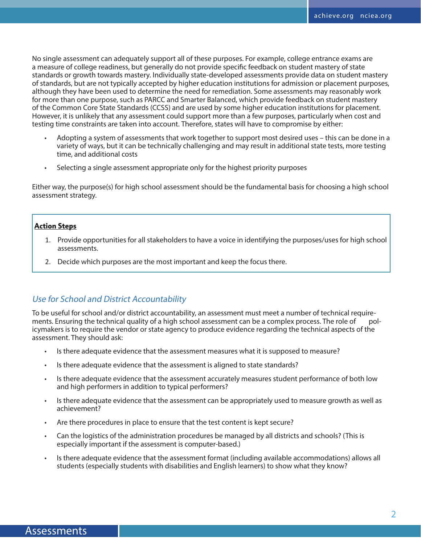No single assessment can adequately support all of these purposes. For example, college entrance exams are a measure of college readiness, but generally do not provide specific feedback on student mastery of state standards or growth towards mastery. Individually state-developed assessments provide data on student mastery of standards, but are not typically accepted by higher education institutions for admission or placement purposes, although they have been used to determine the need for remediation. Some assessments may reasonably work for more than one purpose, such as PARCC and Smarter Balanced, which provide feedback on student mastery of the Common Core State Standards (CCSS) and are used by some higher education institutions for placement. However, it is unlikely that any assessment could support more than a few purposes, particularly when cost and testing time constraints are taken into account. Therefore, states will have to compromise by either:

- Adopting a system of assessments that work together to support most desired uses this can be done in a variety of ways, but it can be technically challenging and may result in additional state tests, more testing time, and additional costs
- Selecting a single assessment appropriate only for the highest priority purposes

Either way, the purpose(s) for high school assessment should be the fundamental basis for choosing a high school assessment strategy.

#### **Action Steps**

- 1. Provide opportunities for all stakeholders to have a voice in identifying the purposes/uses for high school assessments.
- 2. Decide which purposes are the most important and keep the focus there.

## Use for School and District Accountability

To be useful for school and/or district accountability, an assessment must meet a number of technical requirements. Ensuring the technical quality of a high school assessment can be a complex process. The role of policymakers is to require the vendor or state agency to produce evidence regarding the technical aspects of the assessment. They should ask:

- Is there adequate evidence that the assessment measures what it is supposed to measure?
- Is there adequate evidence that the assessment is aligned to state standards?
- Is there adequate evidence that the assessment accurately measures student performance of both low and high performers in addition to typical performers?
- Is there adequate evidence that the assessment can be appropriately used to measure growth as well as achievement?
- Are there procedures in place to ensure that the test content is kept secure?
- Can the logistics of the administration procedures be managed by all districts and schools? (This is especially important if the assessment is computer-based.)
- Is there adequate evidence that the assessment format (including available accommodations) allows all students (especially students with disabilities and English learners) to show what they know?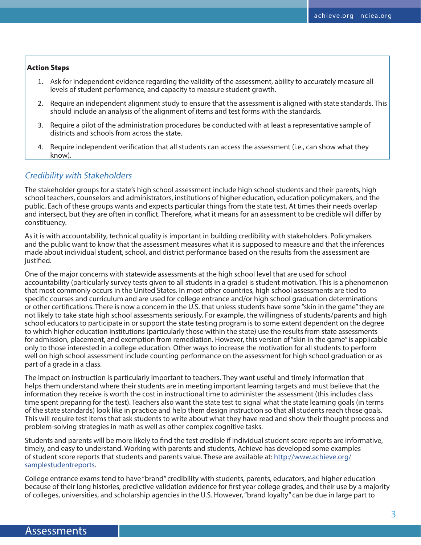#### **Action Steps**

- 1. Ask for independent evidence regarding the validity of the assessment, ability to accurately measure all levels of student performance, and capacity to measure student growth.
- 2. Require an independent alignment study to ensure that the assessment is aligned with state standards. This should include an analysis of the alignment of items and test forms with the standards.
- 3. Require a pilot of the administration procedures be conducted with at least a representative sample of districts and schools from across the state.
- 4. Require independent verification that all students can access the assessment (i.e., can show what they know).

#### Credibility with Stakeholders

The stakeholder groups for a state's high school assessment include high school students and their parents, high school teachers, counselors and administrators, institutions of higher education, education policymakers, and the public. Each of these groups wants and expects particular things from the state test. At times their needs overlap and intersect, but they are often in conflict. Therefore, what it means for an assessment to be credible will differ by constituency.

As it is with accountability, technical quality is important in building credibility with stakeholders. Policymakers and the public want to know that the assessment measures what it is supposed to measure and that the inferences made about individual student, school, and district performance based on the results from the assessment are justified.

One of the major concerns with statewide assessments at the high school level that are used for school accountability (particularly survey tests given to all students in a grade) is student motivation. This is a phenomenon that most commonly occurs in the United States. In most other countries, high school assessments are tied to specific courses and curriculum and are used for college entrance and/or high school graduation determinations or other certifications. There is now a concern in the U.S. that unless students have some "skin in the game" they are not likely to take state high school assessments seriously. For example, the willingness of students/parents and high school educators to participate in or support the state testing program is to some extent dependent on the degree to which higher education institutions (particularly those within the state) use the results from state assessments for admission, placement, and exemption from remediation. However, this version of "skin in the game" is applicable only to those interested in a college education. Other ways to increase the motivation for all students to perform well on high school assessment include counting performance on the assessment for high school graduation or as part of a grade in a class.

The impact on instruction is particularly important to teachers. They want useful and timely information that helps them understand where their students are in meeting important learning targets and must believe that the information they receive is worth the cost in instructional time to administer the assessment (this includes class time spent preparing for the test). Teachers also want the state test to signal what the state learning goals (in terms of the state standards) look like in practice and help them design instruction so that all students reach those goals. This will require test items that ask students to write about what they have read and show their thought process and problem-solving strategies in math as well as other complex cognitive tasks.

Students and parents will be more likely to find the test credible if individual student score reports are informative, timely, and easy to understand. Working with parents and students, Achieve has developed some examples of student score reports that students and parents value. These are available at: [http://www.achieve.org/](http://www.achieve.org/samplestudentreports) [samplestudentreports.](http://www.achieve.org/samplestudentreports)

College entrance exams tend to have "brand" credibility with students, parents, educators, and higher education because of their long histories, predictive validation evidence for first year college grades, and their use by a majority of colleges, universities, and scholarship agencies in the U.S. However, "brand loyalty" can be due in large part to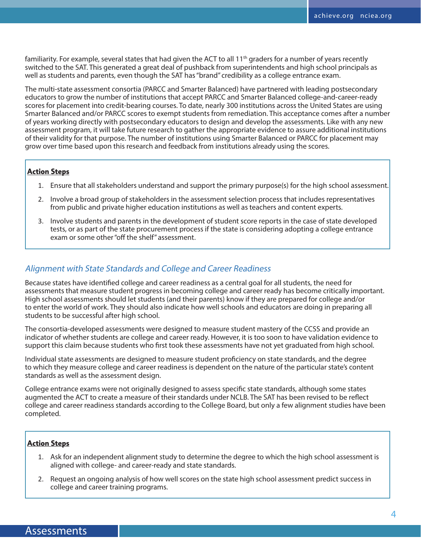familiarity. For example, several states that had given the ACT to all 11<sup>th</sup> graders for a number of years recently switched to the SAT. This generated a great deal of pushback from superintendents and high school principals as well as students and parents, even though the SAT has "brand" credibility as a college entrance exam.

The multi-state assessment consortia (PARCC and Smarter Balanced) have partnered with leading postsecondary educators to grow the number of institutions that accept PARCC and Smarter Balanced college-and-career-ready scores for placement into credit-bearing courses. To date, nearly 300 institutions across the United States are using Smarter Balanced and/or PARCC scores to exempt students from remediation. This acceptance comes after a number of years working directly with postsecondary educators to design and develop the assessments. Like with any new assessment program, it will take future research to gather the appropriate evidence to assure additional institutions of their validity for that purpose. The number of institutions using Smarter Balanced or PARCC for placement may grow over time based upon this research and feedback from institutions already using the scores.

#### **Action Steps**

- 1. Ensure that all stakeholders understand and support the primary purpose(s) for the high school assessment.
- 2. Involve a broad group of stakeholders in the assessment selection process that includes representatives from public and private higher education institutions as well as teachers and content experts.
- 3. Involve students and parents in the development of student score reports in the case of state developed tests, or as part of the state procurement process if the state is considering adopting a college entrance exam or some other "off the shelf" assessment.

## Alignment with State Standards and College and Career Readiness

Because states have identified college and career readiness as a central goal for all students, the need for assessments that measure student progress in becoming college and career ready has become critically important. High school assessments should let students (and their parents) know if they are prepared for college and/or to enter the world of work. They should also indicate how well schools and educators are doing in preparing all students to be successful after high school.

The consortia-developed assessments were designed to measure student mastery of the CCSS and provide an indicator of whether students are college and career ready. However, it is too soon to have validation evidence to support this claim because students who first took these assessments have not yet graduated from high school.

Individual state assessments are designed to measure student proficiency on state standards, and the degree to which they measure college and career readiness is dependent on the nature of the particular state's content standards as well as the assessment design.

College entrance exams were not originally designed to assess specific state standards, although some states augmented the ACT to create a measure of their standards under NCLB. The SAT has been revised to be reflect college and career readiness standards according to the College Board, but only a few alignment studies have been completed.

#### **Action Steps**

- 1. Ask for an independent alignment study to determine the degree to which the high school assessment is aligned with college- and career-ready and state standards.
- 2. Request an ongoing analysis of how well scores on the state high school assessment predict success in college and career training programs.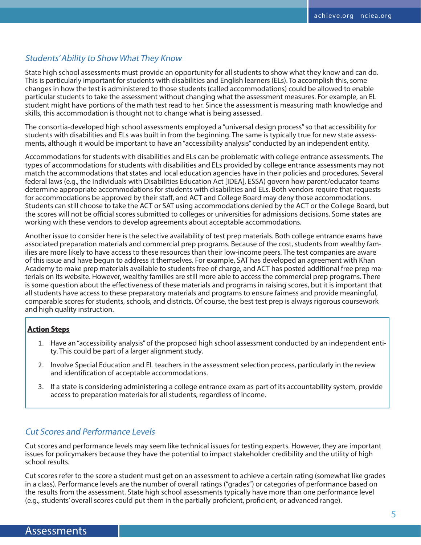## Students' Ability to Show What They Know

State high school assessments must provide an opportunity for all students to show what they know and can do. This is particularly important for students with disabilities and English learners (ELs). To accomplish this, some changes in how the test is administered to those students (called accommodations) could be allowed to enable particular students to take the assessment without changing what the assessment measures. For example, an EL student might have portions of the math test read to her. Since the assessment is measuring math knowledge and skills, this accommodation is thought not to change what is being assessed.

The consortia-developed high school assessments employed a "universal design process" so that accessibility for students with disabilities and ELs was built in from the beginning. The same is typically true for new state assessments, although it would be important to have an "accessibility analysis" conducted by an independent entity.

Accommodations for students with disabilities and ELs can be problematic with college entrance assessments. The types of accommodations for students with disabilities and ELs provided by college entrance assessments may not match the accommodations that states and local education agencies have in their policies and procedures. Several federal laws (e.g., the Individuals with Disabilities Education Act [IDEA], ESSA) govern how parent/educator teams determine appropriate accommodations for students with disabilities and ELs. Both vendors require that requests for accommodations be approved by their staff, and ACT and College Board may deny those accommodations. Students can still choose to take the ACT or SAT using accommodations denied by the ACT or the College Board, but the scores will not be official scores submitted to colleges or universities for admissions decisions. Some states are working with these vendors to develop agreements about acceptable accommodations.

Another issue to consider here is the selective availability of test prep materials. Both college entrance exams have associated preparation materials and commercial prep programs. Because of the cost, students from wealthy families are more likely to have access to these resources than their low-income peers. The test companies are aware of this issue and have begun to address it themselves. For example, SAT has developed an agreement with Khan Academy to make prep materials available to students free of charge, and ACT has posted additional free prep materials on its website. However, wealthy families are still more able to access the commercial prep programs. There is some question about the effectiveness of these materials and programs in raising scores, but it is important that all students have access to these preparatory materials and programs to ensure fairness and provide meaningful, comparable scores for students, schools, and districts. Of course, the best test prep is always rigorous coursework and high quality instruction.

#### **Action Steps**

- 1. Have an "accessibility analysis" of the proposed high school assessment conducted by an independent entity. This could be part of a larger alignment study.
- 2. Involve Special Education and EL teachers in the assessment selection process, particularly in the review and identification of acceptable accommodations.
- 3. If a state is considering administering a college entrance exam as part of its accountability system, provide access to preparation materials for all students, regardless of income.

## Cut Scores and Performance Levels

Cut scores and performance levels may seem like technical issues for testing experts. However, they are important issues for policymakers because they have the potential to impact stakeholder credibility and the utility of high school results.

Cut scores refer to the score a student must get on an assessment to achieve a certain rating (somewhat like grades in a class). Performance levels are the number of overall ratings ("grades") or categories of performance based on the results from the assessment. State high school assessments typically have more than one performance level (e.g., students' overall scores could put them in the partially proficient, proficient, or advanced range).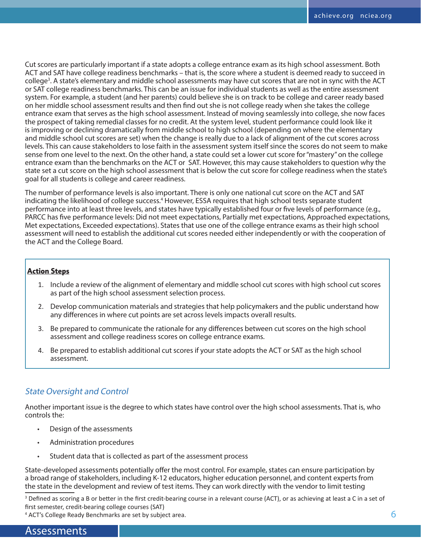Cut scores are particularly important if a state adopts a college entrance exam as its high school assessment. Both ACT and SAT have college readiness benchmarks – that is, the score where a student is deemed ready to succeed in college<sup>3</sup>. A state's elementary and middle school assessments may have cut scores that are not in sync with the ACT or SAT college readiness benchmarks. This can be an issue for individual students as well as the entire assessment system. For example, a student (and her parents) could believe she is on track to be college and career ready based on her middle school assessment results and then find out she is not college ready when she takes the college entrance exam that serves as the high school assessment. Instead of moving seamlessly into college, she now faces the prospect of taking remedial classes for no credit. At the system level, student performance could look like it is improving or declining dramatically from middle school to high school (depending on where the elementary and middle school cut scores are set) when the change is really due to a lack of alignment of the cut scores across levels. This can cause stakeholders to lose faith in the assessment system itself since the scores do not seem to make sense from one level to the next. On the other hand, a state could set a lower cut score for "mastery" on the college entrance exam than the benchmarks on the ACT or SAT. However, this may cause stakeholders to question why the state set a cut score on the high school assessment that is below the cut score for college readiness when the state's goal for all students is college and career readiness.

The number of performance levels is also important. There is only one national cut score on the ACT and SAT indicating the likelihood of college success.<sup>4</sup> However, ESSA requires that high school tests separate student performance into at least three levels, and states have typically established four or five levels of performance (e.g., PARCC has five performance levels: Did not meet expectations, Partially met expectations, Approached expectations, Met expectations, Exceeded expectations). States that use one of the college entrance exams as their high school assessment will need to establish the additional cut scores needed either independently or with the cooperation of the ACT and the College Board.

#### **Action Steps**

- 1. Include a review of the alignment of elementary and middle school cut scores with high school cut scores as part of the high school assessment selection process.
- 2. Develop communication materials and strategies that help policymakers and the public understand how any differences in where cut points are set across levels impacts overall results.
- 3. Be prepared to communicate the rationale for any differences between cut scores on the high school assessment and college readiness scores on college entrance exams.
- 4. Be prepared to establish additional cut scores if your state adopts the ACT or SAT as the high school assessment.

## State Oversight and Control

Another important issue is the degree to which states have control over the high school assessments. That is, who controls the:

- Design of the assessments
- Administration procedures
- Student data that is collected as part of the assessment process

State-developed assessments potentially offer the most control. For example, states can ensure participation by a broad range of stakeholders, including K-12 educators, higher education personnel, and content experts from the state in the development and review of test items. They can work directly with the vendor to limit testing

<sup>3</sup> Defined as scoring a B or better in the first credit-bearing course in a relevant course (ACT), or as achieving at least a C in a set of first semester, credit-bearing college courses (SAT)

4 ACT's College Ready Benchmarks are set by subject area.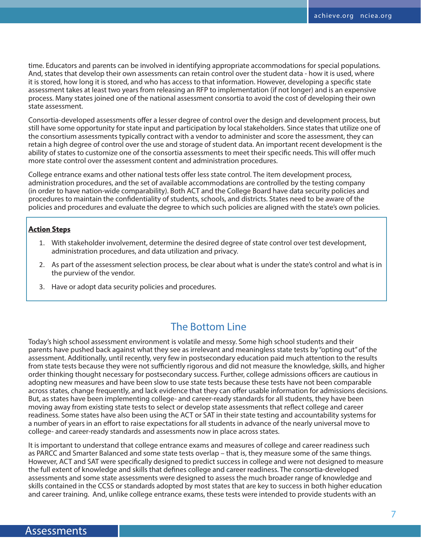time. Educators and parents can be involved in identifying appropriate accommodations for special populations. And, states that develop their own assessments can retain control over the student data - how it is used, where it is stored, how long it is stored, and who has access to that information. However, developing a specific state assessment takes at least two years from releasing an RFP to implementation (if not longer) and is an expensive process. Many states joined one of the national assessment consortia to avoid the cost of developing their own state assessment.

Consortia-developed assessments offer a lesser degree of control over the design and development process, but still have some opportunity for state input and participation by local stakeholders. Since states that utilize one of the consortium assessments typically contract with a vendor to administer and score the assessment, they can retain a high degree of control over the use and storage of student data. An important recent development is the ability of states to customize one of the consortia assessments to meet their specific needs. This will offer much more state control over the assessment content and administration procedures.

College entrance exams and other national tests offer less state control. The item development process, administration procedures, and the set of available accommodations are controlled by the testing company (in order to have nation-wide comparability). Both ACT and the College Board have data security policies and procedures to maintain the confidentiality of students, schools, and districts. States need to be aware of the policies and procedures and evaluate the degree to which such policies are aligned with the state's own policies.

#### **Action Steps**

- 1. With stakeholder involvement, determine the desired degree of state control over test development, administration procedures, and data utilization and privacy.
- 2. As part of the assessment selection process, be clear about what is under the state's control and what is in the purview of the vendor.
- 3. Have or adopt data security policies and procedures.

# The Bottom Line

Today's high school assessment environment is volatile and messy. Some high school students and their parents have pushed back against what they see as irrelevant and meaningless state tests by "opting out" of the assessment. Additionally, until recently, very few in postsecondary education paid much attention to the results from state tests because they were not sufficiently rigorous and did not measure the knowledge, skills, and higher order thinking thought necessary for postsecondary success. Further, college admissions officers are cautious in adopting new measures and have been slow to use state tests because these tests have not been comparable across states, change frequently, and lack evidence that they can offer usable information for admissions decisions. But, as states have been implementing college- and career-ready standards for all students, they have been moving away from existing state tests to select or develop state assessments that reflect college and career readiness. Some states have also been using the ACT or SAT in their state testing and accountability systems for a number of years in an effort to raise expectations for all students in advance of the nearly universal move to college- and career-ready standards and assessments now in place across states.

It is important to understand that college entrance exams and measures of college and career readiness such as PARCC and Smarter Balanced and some state tests overlap – that is, they measure some of the same things. However, ACT and SAT were specifically designed to predict success in college and were not designed to measure the full extent of knowledge and skills that defines college and career readiness. The consortia-developed assessments and some state assessments were designed to assess the much broader range of knowledge and skills contained in the CCSS or standards adopted by most states that are key to success in both higher education and career training. And, unlike college entrance exams, these tests were intended to provide students with an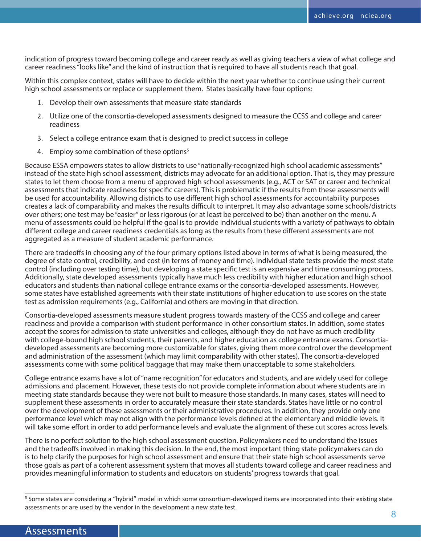indication of progress toward becoming college and career ready as well as giving teachers a view of what college and career readiness "looks like" and the kind of instruction that is required to have all students reach that goal.

Within this complex context, states will have to decide within the next year whether to continue using their current high school assessments or replace or supplement them. States basically have four options:

- 1. Develop their own assessments that measure state standards
- 2. Utilize one of the consortia-developed assessments designed to measure the CCSS and college and career readiness
- 3. Select a college entrance exam that is designed to predict success in college
- 4. Employ some combination of these options<sup>5</sup>

Because ESSA empowers states to allow districts to use "nationally-recognized high school academic assessments" instead of the state high school assessment, districts may advocate for an additional option. That is, they may pressure states to let them choose from a menu of approved high school assessments (e.g., ACT or SAT or career and technical assessments that indicate readiness for specific careers). This is problematic if the results from these assessments will be used for accountability. Allowing districts to use different high school assessments for accountability purposes creates a lack of comparability and makes the results difficult to interpret. It may also advantage some schools/districts over others; one test may be "easier" or less rigorous (or at least be perceived to be) than another on the menu. A menu of assessments could be helpful if the goal is to provide individual students with a variety of pathways to obtain different college and career readiness credentials as long as the results from these different assessments are not aggregated as a measure of student academic performance.

There are tradeoffs in choosing any of the four primary options listed above in terms of what is being measured, the degree of state control, credibility, and cost (in terms of money and time). Individual state tests provide the most state control (including over testing time), but developing a state specific test is an expensive and time consuming process. Additionally, state developed assessments typically have much less credibility with higher education and high school educators and students than national college entrance exams or the consortia-developed assessments. However, some states have established agreements with their state institutions of higher education to use scores on the state test as admission requirements (e.g., California) and others are moving in that direction.

Consortia-developed assessments measure student progress towards mastery of the CCSS and college and career readiness and provide a comparison with student performance in other consortium states. In addition, some states accept the scores for admission to state universities and colleges, although they do not have as much credibility with college-bound high school students, their parents, and higher education as college entrance exams. Consortiadeveloped assessments are becoming more customizable for states, giving them more control over the development and administration of the assessment (which may limit comparability with other states). The consortia-developed assessments come with some political baggage that may make them unacceptable to some stakeholders.

College entrance exams have a lot of "name recognition" for educators and students, and are widely used for college admissions and placement. However, these tests do not provide complete information about where students are in meeting state standards because they were not built to measure those standards. In many cases, states will need to supplement these assessments in order to accurately measure their state standards. States have little or no control over the development of these assessments or their administrative procedures. In addition, they provide only one performance level which may not align with the performance levels defined at the elementary and middle levels. It will take some effort in order to add performance levels and evaluate the alignment of these cut scores across levels.

There is no perfect solution to the high school assessment question. Policymakers need to understand the issues and the tradeoffs involved in making this decision. In the end, the most important thing state policymakers can do is to help clarify the purposes for high school assessment and ensure that their state high school assessments serve those goals as part of a coherent assessment system that moves all students toward college and career readiness and provides meaningful information to students and educators on students' progress towards that goal.

<sup>&</sup>lt;sup>5</sup> Some states are considering a "hybrid" model in which some consortium-developed items are incorporated into their existing state assessments or are used by the vendor in the development a new state test.